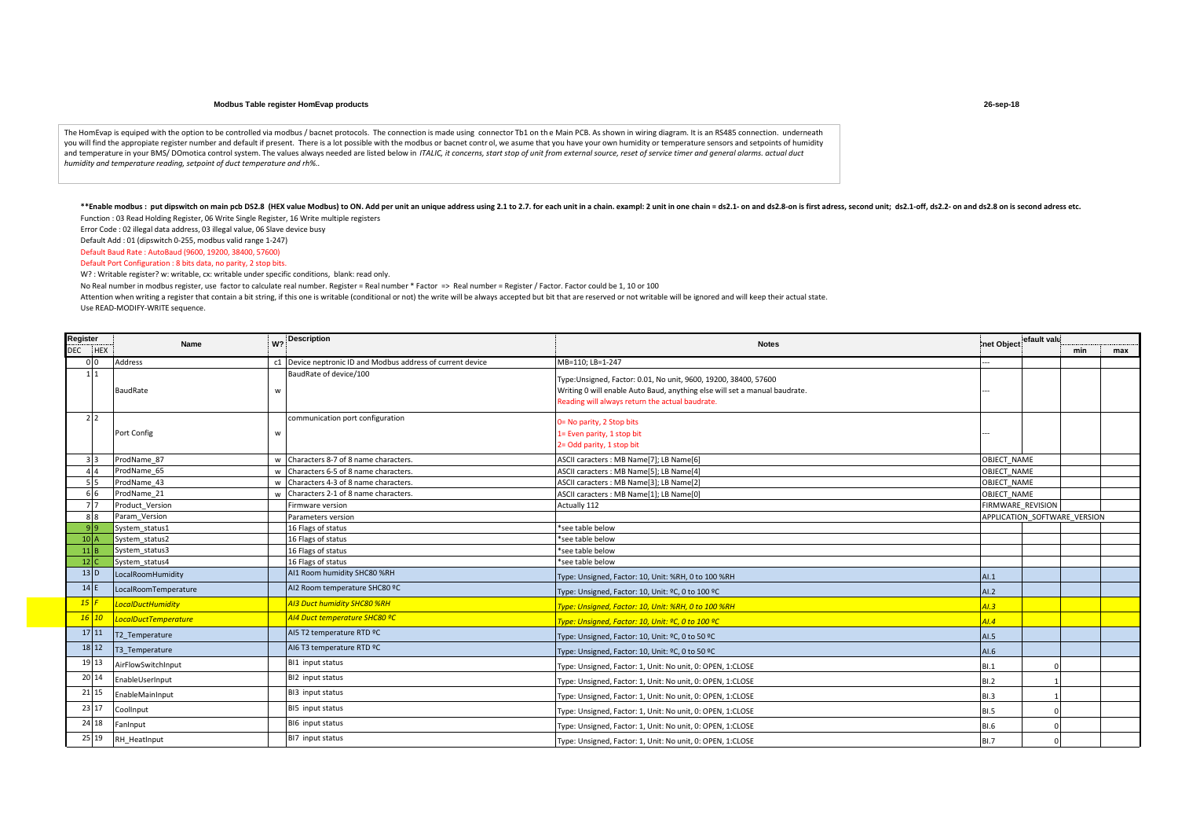## **Modbus Table register HomEvap products**

The HomEvap is equiped with the option to be controlled via modbus / bacnet protocols. The connection is made using connector Tb1 on the Main PCB. As shown in wiring diagram. It is an RS485 connection. underneath you will find the appropiate register number and default if present. There is a lot possible with the modbus or bacnet control, we asume that you have your own humidity or temperature sensors and setpoints of humidity and temperature in your BMS/ DOmotica control system. The values always needed are listed below in *ITALIC, it concerns, start stop of unit from external source, reset of service timer and general alarms. actual duct humidity and temperature reading, setpoint of duct temperature and rh%..* 

\*\*Enable modbus: put dipswitch on main pcb DS2.8 (HEX value Modbus) to ON. Add per unit an unique address using 2.1 to 2.7. for each unit in a chain. exampl: 2 unit in one chain = ds2.1- on and ds2.8-on is first adress, se Function : 03 Read Holding Register, 06 Write Single Register, 16 Write multiple registers

Error Code : 02 illegal data address, 03 illegal value, 06 Slave device busy

Default Add : 01 (dipswitch 0-255, modbus valid range 1-247)

Default Baud Rate : AutoBaud (9600, 19200, 38400, 57600)

Default Port Configuration : 8 bits data, no parity, 2 stop bits.

W? : Writable register? w: writable, cx: writable under specific conditions, blank: read only.

No Real number in modbus register, use factor to calculate real number. Register = Real number \* Factor => Real number = Register / Factor. Factor could be 1, 10 or 100

Attention when writing a register that contain a bit string, if this one is writable (conditional or not) the write will be always accepted but bit that are reserved or not writable will be ignored and will keep their actu Use READ-MODIFY-WRITE sequence.

| Register |                   |                      | W <sub>2</sub> | <b>Description</b>                                          |                                                                                                                                                                                                  | lefault valu<br>Inet Object |                              |     |     |
|----------|-------------------|----------------------|----------------|-------------------------------------------------------------|--------------------------------------------------------------------------------------------------------------------------------------------------------------------------------------------------|-----------------------------|------------------------------|-----|-----|
|          | DEC HEX           | Name                 |                |                                                             | <b>Notes</b>                                                                                                                                                                                     |                             |                              | min | max |
|          | 0 <sup>0</sup>    | Address              |                | c1 Device neptronic ID and Modbus address of current device | MB=110; LB=1-247                                                                                                                                                                                 |                             |                              |     |     |
|          | 11                | BaudRate             | W              | BaudRate of device/100                                      | Type:Unsigned, Factor: 0.01, No unit, 9600, 19200, 38400, 57600<br>Writing 0 will enable Auto Baud, anything else will set a manual baudrate.<br>Reading will always return the actual baudrate. |                             |                              |     |     |
|          | 2 <sub>2</sub>    | Port Config          | W              | communication port configuration                            | J= No parity, 2 Stop bits<br>1= Even parity, 1 stop bit<br>2= Odd parity, 1 stop bit                                                                                                             |                             |                              |     |     |
|          | २ २               | ProdName 87          |                | w Characters 8-7 of 8 name characters.                      | ASCII caracters : MB Name[7]; LB Name[6]                                                                                                                                                         | OBJECT NAME                 |                              |     |     |
|          |                   | ProdName 65          | w              | Characters 6-5 of 8 name characters.                        | ASCII caracters : MB Name[5]; LB Name[4]                                                                                                                                                         | OBJECT NAME                 |                              |     |     |
|          | 55                | ProdName 43          |                | w Characters 4-3 of 8 name characters.                      | ASCII caracters : MB Name[3]; LB Name[2]                                                                                                                                                         | OBJECT NAME                 |                              |     |     |
|          |                   | ProdName 21          |                | Characters 2-1 of 8 name characters.                        | ASCII caracters : MB Name[1]; LB Name[0]                                                                                                                                                         | OBJECT NAME                 |                              |     |     |
|          | 77                | Product Version      |                | Firmware version                                            | Actually 112                                                                                                                                                                                     | FIRMWARE REVISION           |                              |     |     |
|          | 88                | Param Version        |                | Parameters version                                          |                                                                                                                                                                                                  |                             | APPLICATION SOFTWARE VERSION |     |     |
|          | 9 9               | System status1       |                | 16 Flags of status                                          | *see table below                                                                                                                                                                                 |                             |                              |     |     |
|          | 10 <sup>1</sup> A | System status2       |                | 16 Flags of status                                          | *see table below                                                                                                                                                                                 |                             |                              |     |     |
|          | 11B               | System status3       |                | 16 Flags of status                                          | *see table below                                                                                                                                                                                 |                             |                              |     |     |
|          | 12 <sub>c</sub>   | System status4       |                | 16 Flags of status                                          | *see table below                                                                                                                                                                                 |                             |                              |     |     |
|          | $13$ D            | LocalRoomHumidity    |                | AI1 Room humidity SHC80 %RH                                 | Type: Unsigned, Factor: 10, Unit: %RH, 0 to 100 %RH                                                                                                                                              | AI.1                        |                              |     |     |
|          | 14 E              | LocalRoomTemperature |                | AI2 Room temperature SHC80 ºC                               | Type: Unsigned, Factor: 10, Unit: ºC, 0 to 100 ºC                                                                                                                                                | AI.2                        |                              |     |     |
|          | $15$ F            | LocalDuctHumidity    |                | 413 Duct humidity SHC80 %RH                                 | Type: Unsigned, Factor: 10, Unit: %RH, 0 to 100 %RH                                                                                                                                              | AI.3                        |                              |     |     |
|          | $16$ $10$         | LocalDuctTemperature |                | <mark>AI4 Duct temperature SHC80 ºC</mark>                  | Type: Unsigned, Factor: 10, Unit: ºC, 0 to 100 ºC                                                                                                                                                | AI.4                        |                              |     |     |
|          | 17 11             | T2 Temperature       |                | AI5 T2 temperature RTD ºC                                   | Type: Unsigned, Factor: 10, Unit: ºC, 0 to 50 ºC                                                                                                                                                 | AI.5                        |                              |     |     |
|          | 18 12             | T3 Temperature       |                | AI6 T3 temperature RTD ºC                                   | Type: Unsigned, Factor: 10, Unit: ºC, 0 to 50 ºC                                                                                                                                                 | AI.6                        |                              |     |     |
|          | 19 13             | AirFlowSwitchInput   |                | BI1 input status                                            | Type: Unsigned, Factor: 1, Unit: No unit, 0: OPEN, 1:CLOSE                                                                                                                                       | BI.1                        |                              |     |     |
|          | 20 14             | EnableUserInput      |                | BI2 input status                                            | Type: Unsigned, Factor: 1, Unit: No unit, 0: OPEN, 1:CLOSE                                                                                                                                       | BI.2                        |                              |     |     |
|          | 21 15             | EnableMainInput      |                | BI3 input status                                            | Type: Unsigned, Factor: 1, Unit: No unit, 0: OPEN, 1:CLOSE                                                                                                                                       | <b>BI.3</b>                 |                              |     |     |
|          | 23 17             | CoolInput            |                | BI5 input status                                            | Type: Unsigned, Factor: 1, Unit: No unit, 0: OPEN, 1:CLOSE                                                                                                                                       | <b>BI.5</b>                 |                              |     |     |
|          | 24 18             | FanInput             |                | BI6 input status                                            | Type: Unsigned, Factor: 1, Unit: No unit, 0: OPEN, 1:CLOSE                                                                                                                                       | <b>BI.6</b>                 |                              |     |     |
|          | 25 19             | RH HeatInput         |                | BI7 input status                                            | Type: Unsigned, Factor: 1, Unit: No unit, 0: OPEN, 1:CLOSE                                                                                                                                       | <b>BI.7</b>                 |                              |     |     |

**26-sep-18**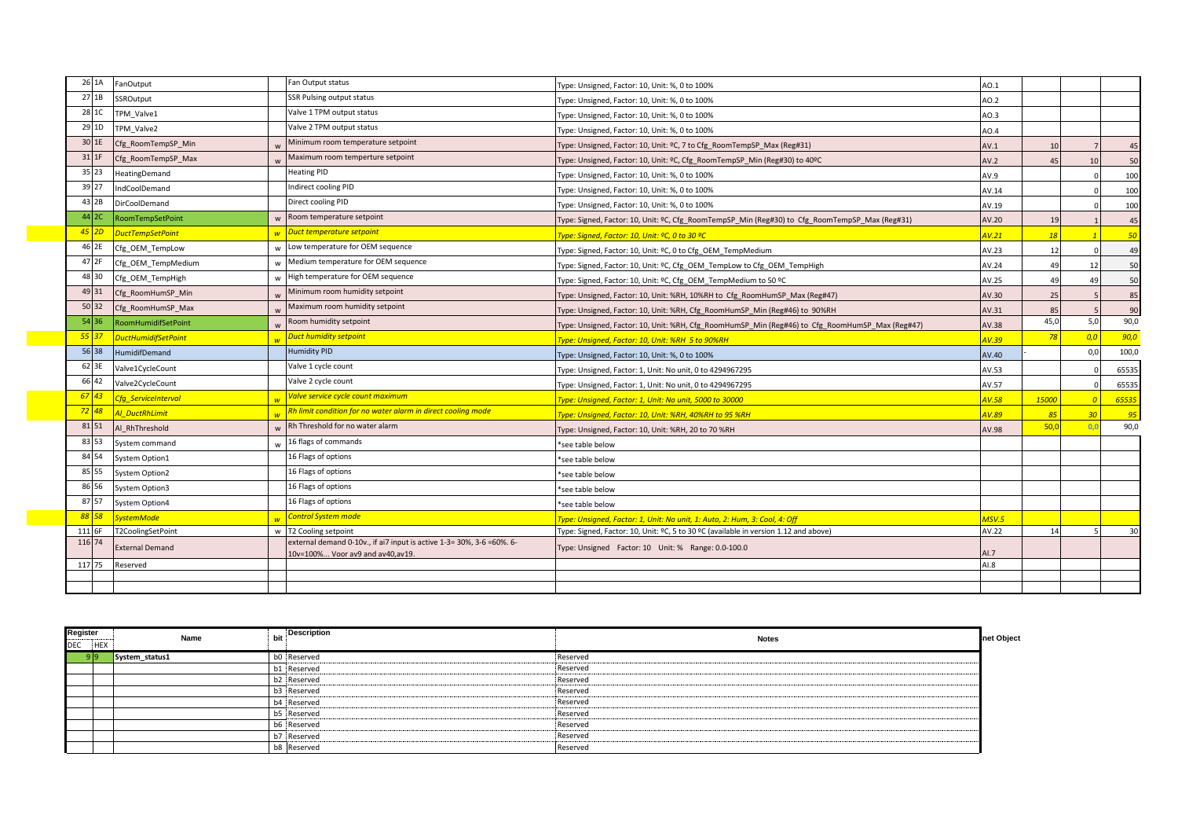| 26 1A            | FanOutput                  |              | Fan Output status                                                                                 | Type: Unsigned, Factor: 10, Unit: %, 0 to 100%                                                  | AO.1  |       |                |       |
|------------------|----------------------------|--------------|---------------------------------------------------------------------------------------------------|-------------------------------------------------------------------------------------------------|-------|-------|----------------|-------|
| 27 1B            | SSROutput                  |              | <b>SSR Pulsing output status</b>                                                                  | Type: Unsigned, Factor: 10, Unit: %, 0 to 100%                                                  | AO.2  |       |                |       |
| 28 1C            | TPM Valve1                 |              | Valve 1 TPM output status                                                                         | Type: Unsigned, Factor: 10, Unit: %, 0 to 100%                                                  | AO.3  |       |                |       |
| 29 1D            | TPM Valve2                 |              | Valve 2 TPM output status                                                                         | Type: Unsigned, Factor: 10, Unit: %, 0 to 100%                                                  | AO.4  |       |                |       |
| 30 1E            | Cfg_RoomTempSP_Min         |              | Minimum room temperature setpoint                                                                 | Type: Unsigned, Factor: 10, Unit: ºC, 7 to Cfg RoomTempSP Max (Reg#31)                          | AV.1  | 10    |                | 45    |
| $31$ $1F$        | Cfg RoomTempSP Max         |              | Maximum room temperture setpoint                                                                  | Type: Unsigned, Factor: 10, Unit: ºC, Cfg RoomTempSP Min (Reg#30) to 40ºC                       | AV.2  | 45    | 10             | 50    |
| 35 23            | HeatingDemand              |              | <b>Heating PID</b>                                                                                | Type: Unsigned, Factor: 10, Unit: %, 0 to 100%                                                  | AV.9  |       |                | 100   |
| 39 27            | IndCoolDemand              |              | Indirect cooling PID                                                                              | Type: Unsigned, Factor: 10, Unit: %, 0 to 100%                                                  | AV.14 |       |                | 100   |
| 43 2B            | DirCoolDemand              |              | Direct cooling PID                                                                                | Type: Unsigned, Factor: 10, Unit: %, 0 to 100%                                                  | AV.19 |       |                | 100   |
| 44 2C            | RoomTempSetPoint           |              | Room temperature setpoint                                                                         | Type: Signed, Factor: 10, Unit: ºC, Cfg RoomTempSP Min (Reg#30) to Cfg RoomTempSP Max (Reg#31)  | AV.20 | 19    |                | 45    |
| $45$ 2D          | <b>DuctTempSetPoint</b>    |              | w Duct temperature setpoint                                                                       | <mark>Type: Signed, Factor: 10, Unit: ºC, 0 to 30 ºC</mark>                                     | 4V.21 |       |                | 50    |
| 46 2E            | Cfg OEM TempLow            | w            | Low temperature for OEM sequence                                                                  | Type: Signed, Factor: 10, Unit: ºC, 0 to Cfg OEM TempMedium                                     | AV.23 | 12    |                | 49    |
| 47 2F            | Cfg OEM TempMedium         | w            | Medium temperature for OEM sequence                                                               | Type: Signed, Factor: 10, Unit: ºC, Cfg OEM TempLow to Cfg OEM TempHigh                         | AV.24 | 49    | 12             | 50    |
| 48 30            | Cfg OEM TempHigh           |              | High temperature for OEM sequence                                                                 | Type: Signed, Factor: 10, Unit: ºC, Cfg OEM TempMedium to 50 ºC                                 | AV.25 | 49    | 49             | 50    |
| 49 31            | Cfg RoomHumSP Min          |              | Minimum room humidity setpoint                                                                    | Type: Unsigned, Factor: 10, Unit: %RH, 10%RH to Cfg RoomHumSP Max (Reg#47)                      | AV.30 | 25    |                | 85    |
| 50 32            | Cfg RoomHumSP Max          |              | Maximum room humidity setpoint                                                                    | Type: Unsigned, Factor: 10, Unit: %RH, Cfg RoomHumSP Min (Reg#46) to 90%RH                      | AV.31 | 85    |                | 90    |
| 54 36            | RoomHumidifSetPoint        |              | Room humidity setpoint                                                                            | Type: Unsigned, Factor: 10, Unit: %RH, Cfg RoomHumSP Min (Reg#46) to Cfg RoomHumSP Max (Reg#47) | AV.38 | 45,0  | 5,0            | 90,0  |
| $55$ 37          | DuctHumidifSetPoint        |              | <b>Duct humidity setpoint</b>                                                                     | Type: Unsigned, Factor: 10, Unit: %RH 5 to 90%RH                                                | 1V.39 | 78    | 0,0            | 90,0  |
| 56 38            | HumidifDemand              |              | Humidity PID                                                                                      | Type: Unsigned, Factor: 10, Unit: %, 0 to 100%                                                  | AV.40 |       | 0,0            | 100,0 |
| 62 3E            | Valve1CycleCount           |              | Valve 1 cycle count                                                                               | Type: Unsigned, Factor: 1, Unit: No unit, 0 to 4294967295                                       | AV.53 |       |                | 65535 |
| 66 42            | Valve2CycleCount           |              | Valve 2 cycle count                                                                               | Type: Unsigned, Factor: 1, Unit: No unit, 0 to 4294967295                                       | AV.57 |       |                | 65535 |
| $67$ 43          | <b>Cfg ServiceInterval</b> |              | Valve service cycle count maximum                                                                 | Type: Unsigned, Factor: 1, Unit: No unit, 5000 to 30000                                         | AV.58 | 15000 | $\overline{0}$ | 65535 |
|                  | Al DuctRhLimit             |              | Rh limit condition for no water alarm in direct cooling mode                                      | Type: Unsigned, Factor: 10, Unit: %RH, 40%RH to 95 %RH                                          | AV.89 | 85    | 30             | 95    |
| 81 51            | Al RhThreshold             | $\mathsf{w}$ | Rh Threshold for no water alarm                                                                   | Type: Unsigned, Factor: 10, Unit: %RH, 20 to 70 %RH                                             | AV.98 | 50,0  | 0,0            | 90,0  |
| 83 53            | System command             |              | 16 flags of commands                                                                              | *see table below                                                                                |       |       |                |       |
| 84 54            | System Option1             |              | 16 Flags of options                                                                               | *see table below                                                                                |       |       |                |       |
| 85 55            | <b>System Option2</b>      |              | 16 Flags of options                                                                               | *see table below                                                                                |       |       |                |       |
| 86 56            | System Option3             |              | 16 Flags of options                                                                               | *see table below                                                                                |       |       |                |       |
| 87 57            | System Option4             |              | 16 Flags of options                                                                               | *see table below                                                                                |       |       |                |       |
| 88 58            | <b>SystemMode</b>          |              | Control System mode                                                                               | Type: Unsigned, Factor: 1, Unit: No unit, 1: Auto, 2: Hum, 3: Cool, 4: Off                      | MSV.5 |       |                |       |
| 111 6F<br>116 74 | T2CoolingSetPoint          |              | w   T2 Cooling setpoint<br>external demand 0-10v., if ai7 input is active 1-3= 30%, 3-6 = 60%. 6- | Type: Signed, Factor: 10, Unit: ºC, 5 to 30 ºC (available in version 1.12 and above)            | AV.22 | 14    |                | 30    |
|                  | <b>External Demand</b>     |              | 10v=100% Voor av9 and av40, av19.                                                                 | Type: Unsigned Factor: 10 Unit: % Range: 0.0-100.0                                              | AI.7  |       |                |       |
| 117 75           | Reserved                   |              |                                                                                                   |                                                                                                 | AI.8  |       |                |       |
|                  |                            |              |                                                                                                   |                                                                                                 |       |       |                |       |
|                  |                            |              |                                                                                                   |                                                                                                 |       |       |                |       |

| Register<br><b>DEC</b> | <b>HEY</b> | Name           | <b>Description</b> | <b>Notes</b>  | net Object |
|------------------------|------------|----------------|--------------------|---------------|------------|
|                        | 9۱۹        | System_status1 | b0 Reserved<br>.   | Reserved      |            |
|                        |            |                | b1 Reserved        | Reserved      |            |
|                        |            |                | b2 Reserved        | Reserved      |            |
|                        |            |                | b3 Reserved<br>.   | Reserved      |            |
|                        |            |                | b4 Reserved        | Reserved<br>  |            |
|                        |            |                | b5 Reserved        | Reserved      |            |
|                        |            |                | b6 Reserved        | Reserved      |            |
|                        |            |                | b7 Reserved<br>.   | Reserved<br>. |            |
|                        |            |                | b8 Reserved        | Reserved      |            |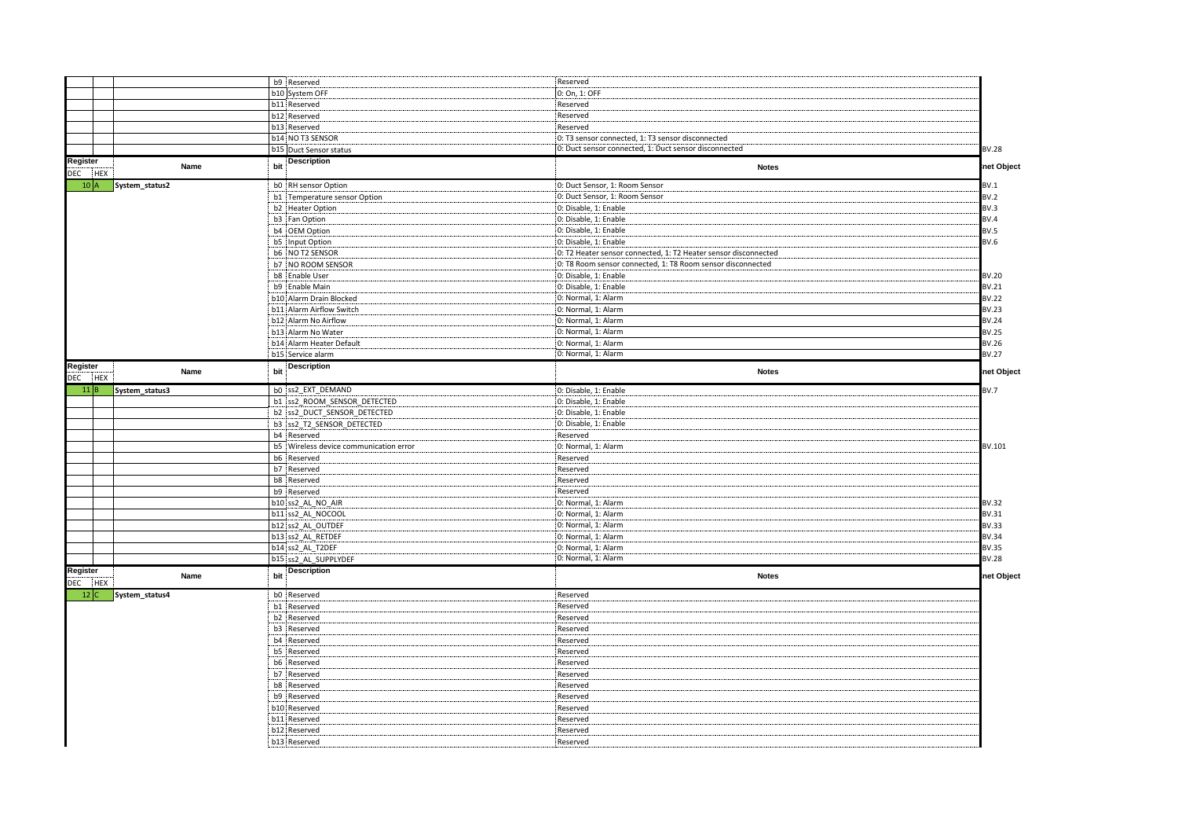|                     |                     |     | b9 Reserved                            | Reserved                                                        |              |
|---------------------|---------------------|-----|----------------------------------------|-----------------------------------------------------------------|--------------|
|                     |                     |     | b10 System OFF                         | 0: On, 1: OFF                                                   |              |
|                     |                     |     | b11 Reserved                           |                                                                 |              |
|                     |                     |     |                                        | Reserved                                                        |              |
|                     |                     |     | b12 Reserved                           | Reserved                                                        |              |
|                     |                     |     | b13 Reserved                           | Reserved                                                        |              |
|                     |                     |     | b14 NO T3 SENSOR                       | 0: T3 sensor connected, 1: T3 sensor disconnected               |              |
|                     |                     |     | b15 Duct Sensor status                 | 0: Duct sensor connected, 1: Duct sensor disconnected           | <b>BV.28</b> |
| Register<br>DEC HEX | Name                | bit | <b>Description</b>                     | <b>Notes</b>                                                    | net Object   |
|                     | 10 A System_status2 |     | b0 RH sensor Option                    | 0: Duct Sensor, 1: Room Sensor                                  | BV.1         |
|                     |                     |     | b1 Temperature sensor Option           | 0: Duct Sensor, 1: Room Sensor                                  | BV.2         |
|                     |                     |     | b2 Heater Option                       | 0: Disable, 1: Enable                                           | BV.3         |
|                     |                     |     | b3 Fan Option                          | 0: Disable, 1: Enable                                           | BV.4         |
|                     |                     |     | b4 OEM Option                          | 0: Disable, 1: Enable                                           | BV.5         |
|                     |                     |     | b5 Input Option                        | 0: Disable, 1: Enable                                           | BV.6         |
|                     |                     |     | b6 NO T2 SENSOR                        | 0: T2 Heater sensor connected, 1: T2 Heater sensor disconnected |              |
|                     |                     |     | b7 NO ROOM SENSOR                      |                                                                 |              |
|                     |                     |     |                                        | 0: T8 Room sensor connected, 1: T8 Room sensor disconnected     |              |
|                     |                     |     | b8 Enable User                         | 0: Disable, 1: Enable                                           | BV.20        |
|                     |                     |     | b9 Enable Main                         | 0: Disable, 1: Enable                                           | BV.21        |
|                     |                     |     | b10 Alarm Drain Blocked                | 0: Normal, 1: Alarm                                             | <b>BV.22</b> |
|                     |                     |     | b11 Alarm Airflow Switch               | 0: Normal, 1: Alarm                                             | <b>BV.23</b> |
|                     |                     |     | b12 Alarm No Airflow                   | 0: Normal, 1: Alarm                                             | <b>BV.24</b> |
|                     |                     |     | b13 Alarm No Water                     | 0: Normal, 1: Alarm                                             | <b>BV.25</b> |
|                     |                     |     | b14 Alarm Heater Default               | 0: Normal, 1: Alarm                                             | BV.26        |
|                     |                     |     | b15 Service alarm                      | 0: Normal, 1: Alarm                                             | <b>BV.27</b> |
| Register            |                     |     | <b>Description</b>                     |                                                                 |              |
| DEC HEX             | Name                | bit |                                        | <b>Notes</b>                                                    | net Object   |
| 11 B                | System_status3      |     | b0 ss2 EXT DEMAND                      | 0: Disable, 1: Enable                                           | BV.7         |
|                     |                     |     | b1 ss2 ROOM SENSOR DETECTED            | 0: Disable, 1: Enable                                           |              |
|                     |                     |     | b2 ss2 DUCT_SENSOR_DETECTED            | 0: Disable, 1: Enable                                           |              |
|                     |                     |     | b3 ss2_T2_SENSOR_DETECTED              | 0: Disable, 1: Enable                                           |              |
|                     |                     |     | b4 Reserved                            | Reserved                                                        |              |
|                     |                     |     | b5 Wireless device communication error | 0: Normal, 1: Alarm                                             | BV.101       |
|                     |                     |     | b6 Reserved                            | Reserved                                                        |              |
|                     |                     |     | b7 Reserved                            | Reserved                                                        |              |
|                     |                     |     | b8 Reserved                            | Reserved                                                        |              |
|                     |                     |     | b9 Reserved                            | Reserved                                                        |              |
|                     |                     |     | b10 ss2_AL_NO_AIR                      | 0: Normal, 1: Alarm                                             | BV.32        |
|                     |                     |     | b11 ss2 AL NOCOOL                      | 0: Normal, 1: Alarm                                             | BV.31        |
|                     |                     |     | b12 ss2 AL OUTDEF                      | 0: Normal, 1: Alarm                                             | BV.33        |
|                     |                     |     |                                        |                                                                 | BV.34        |
|                     |                     |     | b13 ss2_AL_RETDEF                      | 0: Normal, 1: Alarm                                             |              |
|                     |                     |     | b14 ss2 AL T2DEF                       | 0: Normal, 1: Alarm                                             | BV.35        |
|                     |                     |     | b15 ss2 AL SUPPLYDEF                   | 0: Normal, 1: Alarm                                             | <b>BV.28</b> |
| Register<br>DEC HEX | Name                | bit | <b>Description</b>                     | <b>Notes</b>                                                    | net Object   |
|                     | 12 C System_status4 |     | b0 Reserved                            | Reserved                                                        |              |
|                     |                     |     | b1 Reserved                            | Reserved                                                        |              |
|                     |                     |     |                                        |                                                                 |              |
|                     |                     |     | b2 Reserved<br>b3 Reserved             | Reserved                                                        |              |
|                     |                     |     |                                        | Reserved                                                        |              |
|                     |                     |     | b4 Reserved                            | Reserved                                                        |              |
|                     |                     |     | b5 Reserved                            | Reserved                                                        |              |
|                     |                     |     | b6 Reserved                            | Reserved                                                        |              |
|                     |                     |     | b7 Reserved                            | Reserved                                                        |              |
|                     |                     |     | b8 Reserved                            | Reserved                                                        |              |
|                     |                     |     | b9 Reserved                            | Reserved                                                        |              |
|                     |                     |     | b10 Reserved                           | Reserved                                                        |              |
|                     |                     |     | b11 Reserved                           | Reserved                                                        |              |
|                     |                     |     | b12 Reserved                           | Reserved                                                        |              |
|                     |                     |     | b13 Reserved                           | Reserved                                                        |              |
|                     |                     |     |                                        |                                                                 |              |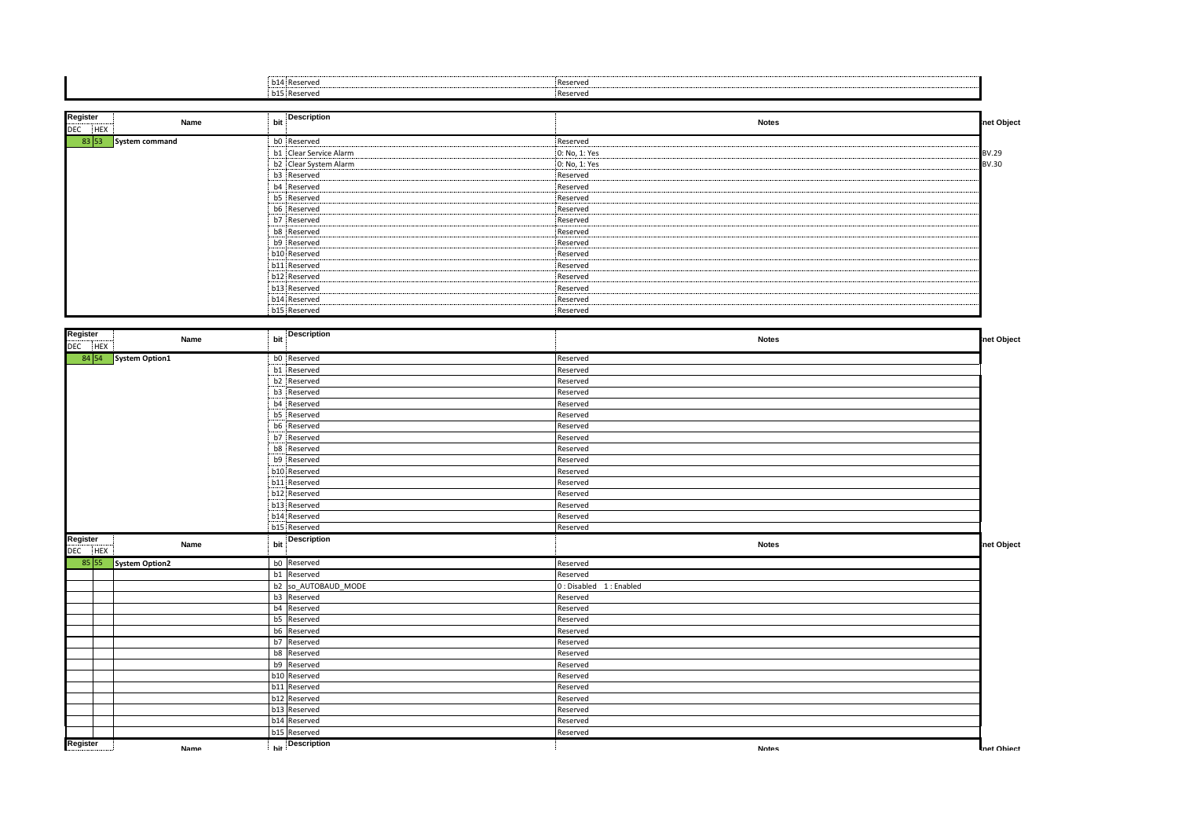| 14 Reserve<br>-------- | Reserved |
|------------------------|----------|
| DIS Reserver           | Reserved |

| Register<br>Name<br><b>DEC</b><br><b>HEX</b> | bit Description                              | <b>Notes</b>                  | net Object |
|----------------------------------------------|----------------------------------------------|-------------------------------|------------|
| 83 53<br>System command                      | b0 Reserved                                  | Reserved<br>                  |            |
|                                              | b1 Clear Service Alarm                       | 0: No, 1: Yes                 | BV.29      |
|                                              | b2 Clear System Alarm                        | 0: No, 1: Yes                 | BV.30      |
|                                              | b3 Reserved<br>-------                       | Reserved<br>-----------       |            |
|                                              | b4 Reserved<br>                              | Reserved                      |            |
|                                              | b5 Reserved<br>--------------------          | Reserved<br>.<br>.            |            |
|                                              | b6 Reserved<br>                              | Reserved                      |            |
|                                              | b7 Reserved<br>-------                       | Reserved                      |            |
|                                              | b8 Reserved<br>---------------------         | Reserved                      |            |
|                                              | b9 Reserved<br>-------                       | Reserved                      |            |
|                                              | b10 Reserved                                 | Reserved<br>                  |            |
|                                              | b11 Reserved                                 | Reserved                      |            |
|                                              | b12 Reserved<br>-------------------------    | Reserved<br>.                 |            |
|                                              | b13 Reserved<br>---------------------------- | Reserved<br>-------------<br> |            |
|                                              | b14 Reserved<br>-------                      | Reserved                      |            |
|                                              | b15 Reserved                                 | Reserved                      |            |

| Register<br>DEC HEX | Name                 | bit | Description                     | <b>Notes</b>           | net Object |
|---------------------|----------------------|-----|---------------------------------|------------------------|------------|
|                     | 84 54 System Option1 |     | b0 Reserved                     | Reserved               |            |
|                     |                      |     | b1 Reserved                     | Reserved               |            |
|                     |                      |     | b2 Reserved                     | Reserved               |            |
|                     |                      |     | b3 Reserved                     | Reserved               |            |
|                     |                      |     | b4 Reserved                     | Reserved               |            |
|                     |                      |     | b5 Reserved                     | Reserved               |            |
|                     |                      |     | b6 Reserved                     | Reserved               |            |
|                     |                      |     | b7 Reserved                     | Reserved               |            |
|                     |                      |     | b8 Reserved                     | Reserved               |            |
|                     |                      |     | b9 Reserved                     | Reserved               |            |
|                     |                      |     | b10 Reserved                    | Reserved               |            |
|                     |                      |     | b11 Reserved                    | Reserved               |            |
|                     |                      |     | b12 Reserved                    | Reserved               |            |
|                     |                      |     | b13 Reserved                    | Reserved               |            |
|                     |                      |     | b14 Reserved                    | Reserved               |            |
|                     |                      |     | b15 Reserved                    | Reserved               |            |
| Register<br>DEC HEX | Name                 | bit | <b>Description</b>              | <b>Notes</b>           | net Object |
| 85 55               | System Option2       |     | b0 Reserved                     | Reserved               |            |
|                     |                      |     | b1 Reserved                     | Reserved               |            |
|                     |                      |     | b2 so AUTOBAUD MODE             | 0: Disabled 1: Enabled |            |
|                     |                      |     | b3 Reserved                     | Reserved               |            |
|                     |                      |     | b4 Reserved                     | Reserved               |            |
|                     |                      |     | b5 Reserved                     | Reserved               |            |
|                     |                      |     | b6 Reserved                     | Reserved               |            |
|                     |                      |     | b7 Reserved                     | Reserved               |            |
|                     |                      |     | b8 Reserved                     | Reserved               |            |
|                     |                      |     | b9 Reserved                     | Reserved               |            |
|                     |                      |     | b10 Reserved                    | Reserved               |            |
|                     |                      |     | b11 Reserved                    | Reserved               |            |
|                     |                      |     | b12 Reserved                    | Reserved               |            |
|                     |                      |     | b13 Reserved                    | Reserved               |            |
|                     |                      |     |                                 |                        |            |
|                     |                      |     | b14 Reserved                    | Reserved               |            |
|                     |                      |     | b15 Reserved<br>hit Description | Reserved               |            |